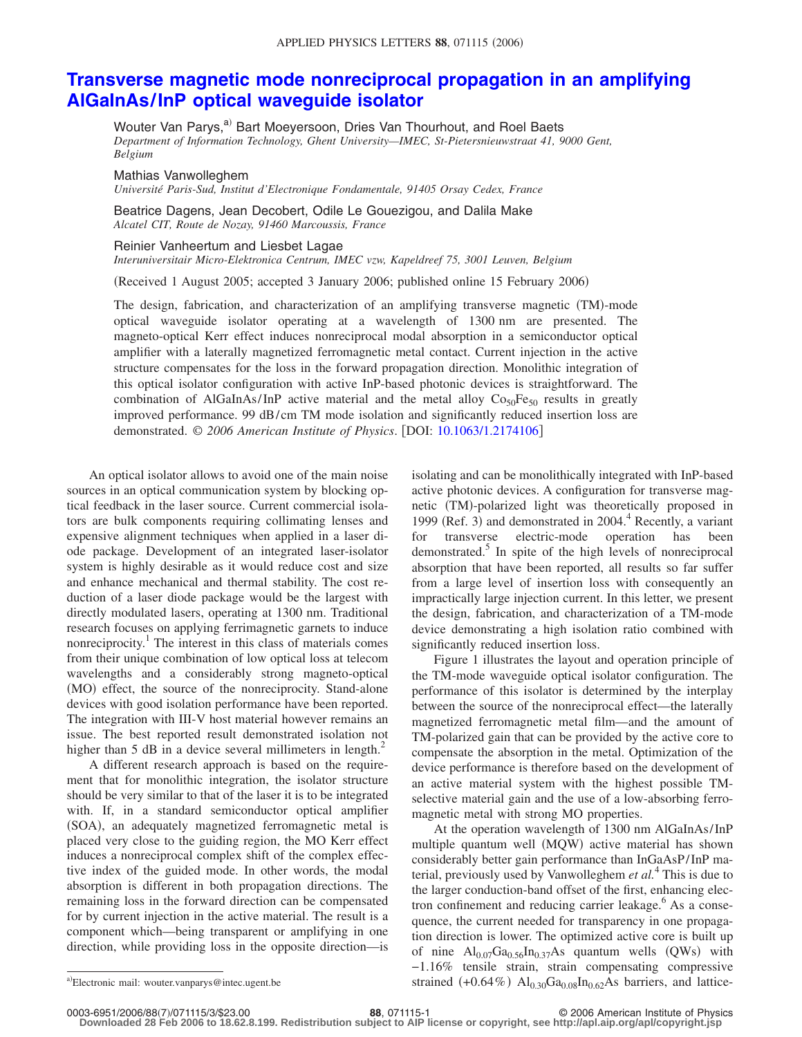## **[Transverse magnetic mode nonreciprocal propagation in an amplifying](http://dx.doi.org/10.1063/1.2174106) [AlGaInAs/InP optical waveguide isolator](http://dx.doi.org/10.1063/1.2174106)**

Wouter Van Parys,<sup>a)</sup> Bart Moeyersoon, Dries Van Thourhout, and Roel Baets *Department of Information Technology, Ghent University—IMEC, St-Pietersnieuwstraat 41, 9000 Gent, Belgium*

Mathias Vanwolleghem

*Université Paris-Sud, Institut d'Electronique Fondamentale, 91405 Orsay Cedex, France*

Beatrice Dagens, Jean Decobert, Odile Le Gouezigou, and Dalila Make *Alcatel CIT, Route de Nozay, 91460 Marcoussis, France*

Reinier Vanheertum and Liesbet Lagae

*Interuniversitair Micro-Elektronica Centrum, IMEC vzw, Kapeldreef 75, 3001 Leuven, Belgium*

Received 1 August 2005; accepted 3 January 2006; published online 15 February 2006-

The design, fabrication, and characterization of an amplifying transverse magnetic (TM)-mode optical waveguide isolator operating at a wavelength of 1300 nm are presented. The magneto-optical Kerr effect induces nonreciprocal modal absorption in a semiconductor optical amplifier with a laterally magnetized ferromagnetic metal contact. Current injection in the active structure compensates for the loss in the forward propagation direction. Monolithic integration of this optical isolator configuration with active InP-based photonic devices is straightforward. The combination of AlGaInAs/InP active material and the metal alloy  $Co<sub>50</sub>Fe<sub>50</sub>$  results in greatly improved performance. 99 dB/cm TM mode isolation and significantly reduced insertion loss are demonstrated. © 2006 American Institute of Physics. [DOI: [10.1063/1.2174106](http://dx.doi.org/10.1063/1.2174106)]

An optical isolator allows to avoid one of the main noise sources in an optical communication system by blocking optical feedback in the laser source. Current commercial isolators are bulk components requiring collimating lenses and expensive alignment techniques when applied in a laser diode package. Development of an integrated laser-isolator system is highly desirable as it would reduce cost and size and enhance mechanical and thermal stability. The cost reduction of a laser diode package would be the largest with directly modulated lasers, operating at 1300 nm. Traditional research focuses on applying ferrimagnetic garnets to induce nonreciprocity.<sup>1</sup> The interest in this class of materials comes from their unique combination of low optical loss at telecom wavelengths and a considerably strong magneto-optical (MO) effect, the source of the nonreciprocity. Stand-alone devices with good isolation performance have been reported. The integration with III-V host material however remains an issue. The best reported result demonstrated isolation not higher than  $5$  dB in a device several millimeters in length.<sup>2</sup>

A different research approach is based on the requirement that for monolithic integration, the isolator structure should be very similar to that of the laser it is to be integrated with. If, in a standard semiconductor optical amplifier (SOA), an adequately magnetized ferromagnetic metal is placed very close to the guiding region, the MO Kerr effect induces a nonreciprocal complex shift of the complex effective index of the guided mode. In other words, the modal absorption is different in both propagation directions. The remaining loss in the forward direction can be compensated for by current injection in the active material. The result is a component which—being transparent or amplifying in one direction, while providing loss in the opposite direction—is

isolating and can be monolithically integrated with InP-based active photonic devices. A configuration for transverse magnetic TM--polarized light was theoretically proposed in 1999 (Ref. 3) and demonstrated in 2004.<sup>4</sup> Recently, a variant for transverse electric-mode operation has been demonstrated. $5$  In spite of the high levels of nonreciprocal absorption that have been reported, all results so far suffer from a large level of insertion loss with consequently an impractically large injection current. In this letter, we present the design, fabrication, and characterization of a TM-mode device demonstrating a high isolation ratio combined with significantly reduced insertion loss.

Figure 1 illustrates the layout and operation principle of the TM-mode waveguide optical isolator configuration. The performance of this isolator is determined by the interplay between the source of the nonreciprocal effect—the laterally magnetized ferromagnetic metal film—and the amount of TM-polarized gain that can be provided by the active core to compensate the absorption in the metal. Optimization of the device performance is therefore based on the development of an active material system with the highest possible TMselective material gain and the use of a low-absorbing ferromagnetic metal with strong MO properties.

At the operation wavelength of 1300 nm AlGaInAs/InP multiple quantum well (MQW) active material has shown considerably better gain performance than InGaAsP/InP material, previously used by Vanwolleghem *et al.*<sup>4</sup> This is due to the larger conduction-band offset of the first, enhancing electron confinement and reducing carrier leakage.<sup>6</sup> As a consequence, the current needed for transparency in one propagation direction is lower. The optimized active core is built up of nine  $Al_{0.07}Ga_{0.56}In_{0.37}As$  quantum wells (QWs) with −1.16% tensile strain, strain compensating compressive a)Electronic mail: wouter.vanparys@intec.ugent.be strained  $(+0.64\%)$   $Al_{0.30}Ga_{0.08}In_{0.62}As$  barriers, and lattice-

Electronic mail: wouter.vanparys@intec.ugent.be

**<sup>88.</sup>** 071115-1 **88.** 071115-1

**Downloaded 28 Feb 2006 to 18.62.8.199. Redistribution subject to AIP license or copyright, see http://apl.aip.org/apl/copyright.jsp**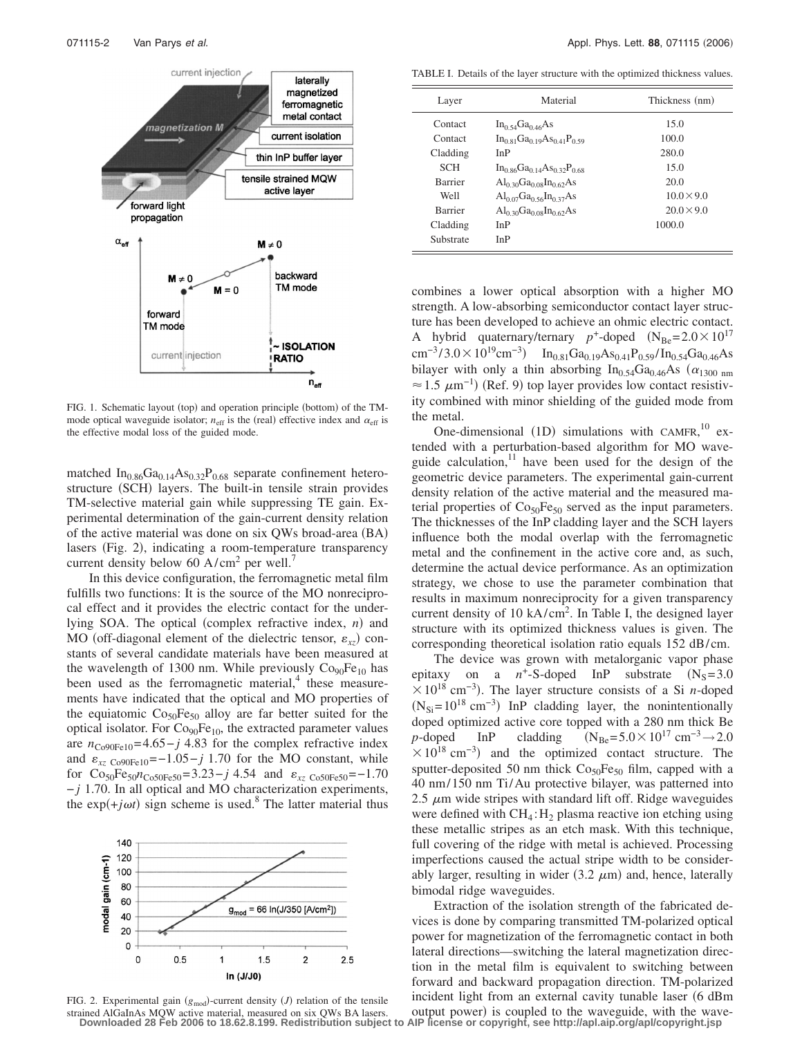

FIG. 1. Schematic layout (top) and operation principle (bottom) of the TMmode optical waveguide isolator;  $n_{\text{eff}}$  is the (real) effective index and  $\alpha_{\text{eff}}$  is the effective modal loss of the guided mode.

matched  $In_{0.86}Ga_{0.14}As_{0.32}P_{0.68}$  separate confinement heterostructure (SCH) layers. The built-in tensile strain provides TM-selective material gain while suppressing TE gain. Experimental determination of the gain-current density relation of the active material was done on six QWs broad-area (BA) lasers (Fig. 2), indicating a room-temperature transparency current density below 60  $A/cm<sup>2</sup>$  per well.<sup>7</sup>

In this device configuration, the ferromagnetic metal film fulfills two functions: It is the source of the MO nonreciprocal effect and it provides the electric contact for the underlying SOA. The optical (complex refractive index, *n*) and MO (off-diagonal element of the dielectric tensor,  $\varepsilon_{xz}$ ) constants of several candidate materials have been measured at the wavelength of 1300 nm. While previously  $Co<sub>90</sub>Fe<sub>10</sub>$  has been used as the ferromagnetic material, $4$  these measurements have indicated that the optical and MO properties of the equiatomic  $Co<sub>50</sub>Fe<sub>50</sub>$  alloy are far better suited for the optical isolator. For  $Co<sub>90</sub>Fe<sub>10</sub>$ , the extracted parameter values are  $n_{\text{Co90Fe10}}$ =4.65-*j* 4.83 for the complex refractive index and  $\varepsilon_{xz\text{C090Fe10}}$ =−1.05−*j* 1.70 for the MO constant, while for Co<sub>50</sub>Fe<sub>50</sub> $n_{\text{Co50Fe50}}$ =3.23−*j* 4.54 and  $\varepsilon_{xz}$  <sub>Co50Fe50</sub>=-1.70 − *j* 1.70. In all optical and MO characterization experiments, the  $exp(+j\omega t)$  sign scheme is used.<sup>8</sup> The latter material thus





TABLE I. Details of the layer structure with the optimized thickness values.

| Layer          | Material                              | Thickness (nm)    |
|----------------|---------------------------------------|-------------------|
| Contact        | $In_{0.54}Ga_{0.46}As$                | 15.0              |
| Contact        | $In_{0.81}Ga_{0.19}As_{0.41}P_{0.59}$ | 100.0             |
| Cladding       | InP                                   | 280.0             |
| <b>SCH</b>     | $In_{0.86}Ga_{0.14}As_{0.32}P_{0.68}$ | 15.0              |
| <b>Barrier</b> | $Al_{0,30}Ga_{0,08}In_{0,62}As$       | 20.0              |
| Well           | $Al_{0.07}Ga_{0.56}In_{0.37}As$       | $10.0 \times 9.0$ |
| <b>Barrier</b> | $Al_{0,30}Ga_{0,08}In_{0,62}As$       | $20.0 \times 9.0$ |
| Cladding       | InP                                   | 1000.0            |
| Substrate      | InP                                   |                   |

combines a lower optical absorption with a higher MO strength. A low-absorbing semiconductor contact layer structure has been developed to achieve an ohmic electric contact. A hybrid quaternary/ternary  $p^+$ -doped  $(N_{\text{Be}}=2.0\times10^{17}$ cm<sup>-3</sup>/3.0×10<sup>19</sup>cm<sup>-3</sup>) In<sub>0.81</sub>Ga<sub>0.19</sub>As<sub>0.41</sub>P<sub>0.59</sub>/In<sub>0.54</sub>Ga<sub>0.46</sub>As bilayer with only a thin absorbing In<sub>0.54</sub>Ga<sub>0.46</sub>As ( $\alpha_{1300 \text{ nm}}$ )  $\approx$  1.5  $\mu$ m<sup>-1</sup>) (Ref. 9) top layer provides low contact resistivity combined with minor shielding of the guided mode from the metal.

One-dimensional (1D) simulations with CAMFR,  $^{10}$  extended with a perturbation-based algorithm for MO waveguide calculation, $11$  have been used for the design of the geometric device parameters. The experimental gain-current density relation of the active material and the measured material properties of  $Co<sub>50</sub>Fe<sub>50</sub>$  served as the input parameters. The thicknesses of the InP cladding layer and the SCH layers influence both the modal overlap with the ferromagnetic metal and the confinement in the active core and, as such, determine the actual device performance. As an optimization strategy, we chose to use the parameter combination that results in maximum nonreciprocity for a given transparency current density of 10  $kA/cm<sup>2</sup>$ . In Table I, the designed layer structure with its optimized thickness values is given. The corresponding theoretical isolation ratio equals 152 dB/cm.

The device was grown with metalorganic vapor phase epitaxy on a  $n^+$ -S-doped InP substrate  $(N_s=3.0$  $\times 10^{18}$  cm<sup>-3</sup>). The layer structure consists of a Si *n*-doped  $(N_{Si}=10^{18} \text{ cm}^{-3})$  InP cladding layer, the nonintentionally doped optimized active core topped with a 280 nm thick Be *p*-doped InP cladding  $(N_{\text{Be}}=5.0\times10^{17} \text{ cm}^{-3}\rightarrow 2.0$  $\times$  10<sup>18</sup> cm<sup>-3</sup>) and the optimized contact structure. The sputter-deposited 50 nm thick  $Co<sub>50</sub>Fe<sub>50</sub>$  film, capped with a 40 nm/150 nm Ti/Au protective bilayer, was patterned into 2.5  $\mu$ m wide stripes with standard lift off. Ridge waveguides were defined with  $CH_4$ :  $H_2$  plasma reactive ion etching using these metallic stripes as an etch mask. With this technique, full covering of the ridge with metal is achieved. Processing imperfections caused the actual stripe width to be considerably larger, resulting in wider  $(3.2 \mu m)$  and, hence, laterally bimodal ridge waveguides.

Extraction of the isolation strength of the fabricated devices is done by comparing transmitted TM-polarized optical power for magnetization of the ferromagnetic contact in both lateral directions—switching the lateral magnetization direction in the metal film is equivalent to switching between forward and backward propagation direction. TM-polarized incident light from an external cavity tunable laser (6 dBm output power) is coupled to the waveguide, with the wave-